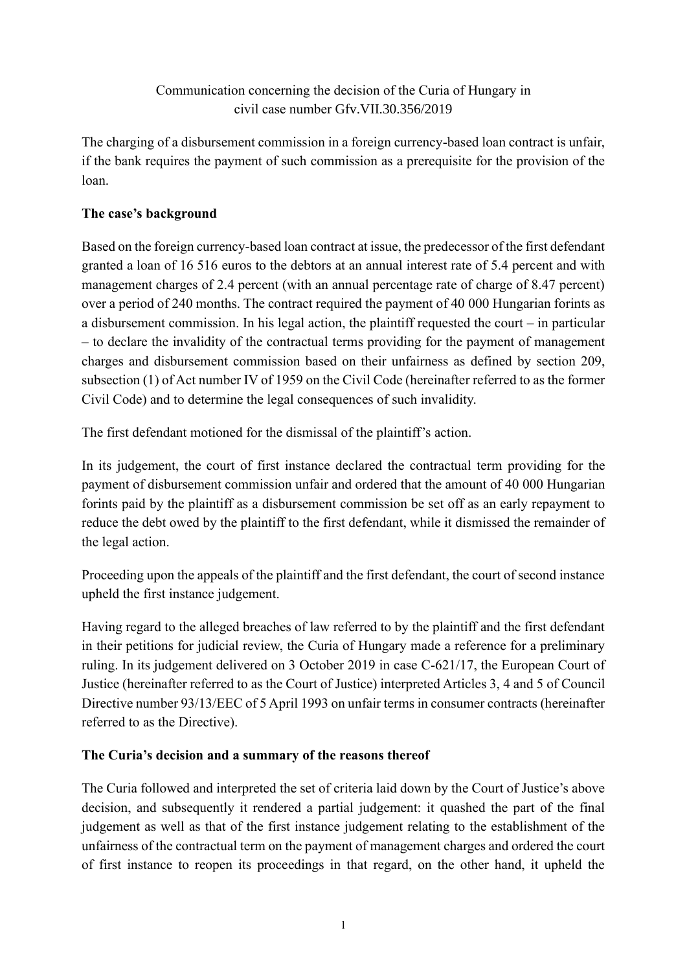## Communication concerning the decision of the Curia of Hungary in civil case number Gfv.VII.30.356/2019

The charging of a disbursement commission in a foreign currency-based loan contract is unfair, if the bank requires the payment of such commission as a prerequisite for the provision of the loan.

## **The case's background**

Based on the foreign currency-based loan contract at issue, the predecessor of the first defendant granted a loan of 16 516 euros to the debtors at an annual interest rate of 5.4 percent and with management charges of 2.4 percent (with an annual percentage rate of charge of 8.47 percent) over a period of 240 months. The contract required the payment of 40 000 Hungarian forints as a disbursement commission. In his legal action, the plaintiff requested the court – in particular – to declare the invalidity of the contractual terms providing for the payment of management charges and disbursement commission based on their unfairness as defined by section 209, subsection (1) of Act number IV of 1959 on the Civil Code (hereinafter referred to as the former Civil Code) and to determine the legal consequences of such invalidity.

The first defendant motioned for the dismissal of the plaintiff's action.

In its judgement, the court of first instance declared the contractual term providing for the payment of disbursement commission unfair and ordered that the amount of 40 000 Hungarian forints paid by the plaintiff as a disbursement commission be set off as an early repayment to reduce the debt owed by the plaintiff to the first defendant, while it dismissed the remainder of the legal action.

Proceeding upon the appeals of the plaintiff and the first defendant, the court of second instance upheld the first instance judgement.

Having regard to the alleged breaches of law referred to by the plaintiff and the first defendant in their petitions for judicial review, the Curia of Hungary made a reference for a preliminary ruling. In its judgement delivered on 3 October 2019 in case C-621/17, the European Court of Justice (hereinafter referred to as the Court of Justice) interpreted Articles 3, 4 and 5 of Council Directive number 93/13/EEC of 5 April 1993 on unfair terms in consumer contracts (hereinafter referred to as the Directive).

## **The Curia's decision and a summary of the reasons thereof**

The Curia followed and interpreted the set of criteria laid down by the Court of Justice's above decision, and subsequently it rendered a partial judgement: it quashed the part of the final judgement as well as that of the first instance judgement relating to the establishment of the unfairness of the contractual term on the payment of management charges and ordered the court of first instance to reopen its proceedings in that regard, on the other hand, it upheld the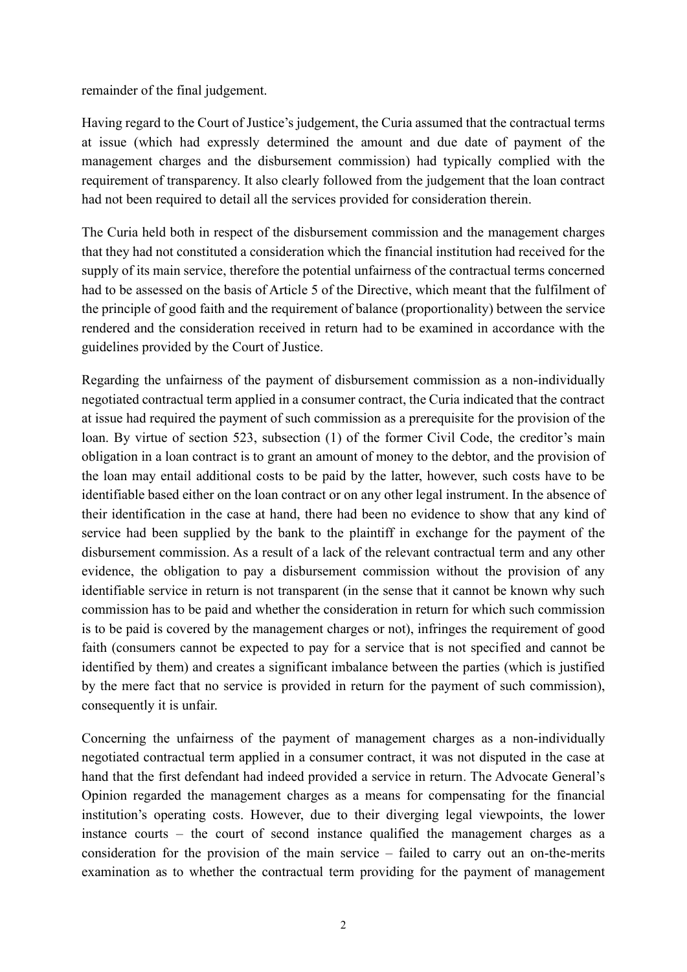remainder of the final judgement.

Having regard to the Court of Justice's judgement, the Curia assumed that the contractual terms at issue (which had expressly determined the amount and due date of payment of the management charges and the disbursement commission) had typically complied with the requirement of transparency. It also clearly followed from the judgement that the loan contract had not been required to detail all the services provided for consideration therein.

The Curia held both in respect of the disbursement commission and the management charges that they had not constituted a consideration which the financial institution had received for the supply of its main service, therefore the potential unfairness of the contractual terms concerned had to be assessed on the basis of Article 5 of the Directive, which meant that the fulfilment of the principle of good faith and the requirement of balance (proportionality) between the service rendered and the consideration received in return had to be examined in accordance with the guidelines provided by the Court of Justice.

Regarding the unfairness of the payment of disbursement commission as a non-individually negotiated contractual term applied in a consumer contract, the Curia indicated that the contract at issue had required the payment of such commission as a prerequisite for the provision of the loan. By virtue of section 523, subsection (1) of the former Civil Code, the creditor's main obligation in a loan contract is to grant an amount of money to the debtor, and the provision of the loan may entail additional costs to be paid by the latter, however, such costs have to be identifiable based either on the loan contract or on any other legal instrument. In the absence of their identification in the case at hand, there had been no evidence to show that any kind of service had been supplied by the bank to the plaintiff in exchange for the payment of the disbursement commission. As a result of a lack of the relevant contractual term and any other evidence, the obligation to pay a disbursement commission without the provision of any identifiable service in return is not transparent (in the sense that it cannot be known why such commission has to be paid and whether the consideration in return for which such commission is to be paid is covered by the management charges or not), infringes the requirement of good faith (consumers cannot be expected to pay for a service that is not specified and cannot be identified by them) and creates a significant imbalance between the parties (which is justified by the mere fact that no service is provided in return for the payment of such commission), consequently it is unfair.

Concerning the unfairness of the payment of management charges as a non-individually negotiated contractual term applied in a consumer contract, it was not disputed in the case at hand that the first defendant had indeed provided a service in return. The Advocate General's Opinion regarded the management charges as a means for compensating for the financial institution's operating costs. However, due to their diverging legal viewpoints, the lower instance courts – the court of second instance qualified the management charges as a consideration for the provision of the main service – failed to carry out an on-the-merits examination as to whether the contractual term providing for the payment of management